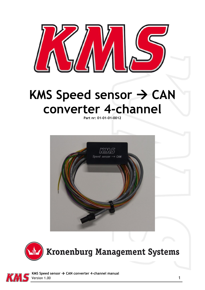

## KMS Speed sensor  $\rightarrow$  CAN **converter 4-channel**

**Part nr: 01-01-01-0012**







 **KMS Speed sensor CAN converter 4-channel manual** Version 1.00 1 and 1 and 1 and 1 and 1 and 1 and 1 and 1 and 1 and 1 and 1 and 1 and 1 and 1 and 1 and 1 and 1 and 1 and 1 and 1 and 1 and 1 and 1 and 1 and 1 and 1 and 1 and 1 and 1 and 1 and 1 and 1 and 1 and 1 and 1 and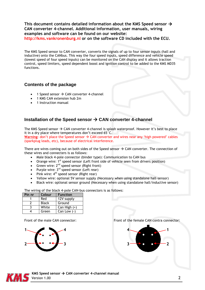**This document contains detailed information about the KMS Speed sensor CAN converter 4-channel. Additional information, user manuals, wiring examples and software can be found on our website: http://kms.vankronenburg.nl or on the software CD included with the ECU.**

The KMS Speed sensor to CAN converter, converts the signals of up to four sensor inputs (hall and inductive) onto the CANbus. This way the four speed inputs, speed difference and vehicle speed (lowest speed of four speed inputs) can be monitored on the CAN display and it allows traction control, speed limiters, speed dependent boost and ignition control to be added to the KMS MD35 functions.

## **Contents of the package**

- 1 Speed sensor  $\rightarrow$  CAN converter 4-channel
- 1 KMS CAN extension hub 2m
- 1 Instruction manual

## **Installation of the Speed sensor CAN converter 4-channel**

The KMS Speed sensor  $\rightarrow$  CAN converter 4-channel is splash waterproof. However it's best to place it in a dry place where temperatures don't exceed 65°C.

**Warning:** don't place the Speed sensor  $\rightarrow$  CAN converter and wires near any 'high powered' cables (sparkplug leads, etc), because of electrical interference.

There are wires coming out on both sides of the Speed sensor  $\rightarrow$  CAN converter. The connection of these wires and connecters is as follows:

- Male black 4-pole connector (binder type): Communication to CAN bus
- Orange wire:  $1^{st}$  speed sensor (Left front side of vehicle seen from drivers position)
- Green wire:  $2<sup>nd</sup>$  speed sensor (Right front)
- Purple wire:  $3^{rd}$  speed sensor (Left rear)
- Pink wire:  $4^{th}$  speed sensor (Right rear)
- Yellow wire: optional 5V sensor supply (Necessary when using standalone hall-sensor)
- Black wire: optional sensor ground (Necessary when using standalone hall/inductive sensor)

The wiring of the black 4-pole CAN-bus connectors is as follows:

| Pin nr | Colour       | <b>Function</b> |
|--------|--------------|-----------------|
|        | Red          | 12V supply      |
|        | <b>Black</b> | Ground          |
|        | White        | Can High $(+)$  |
|        | Green        | Can Low $(-)$   |



Front of the male CAN connector: Front of the female CAN contra connector:





 **KMS Speed sensor CAN converter 4-channel manual** Version 1.00 2